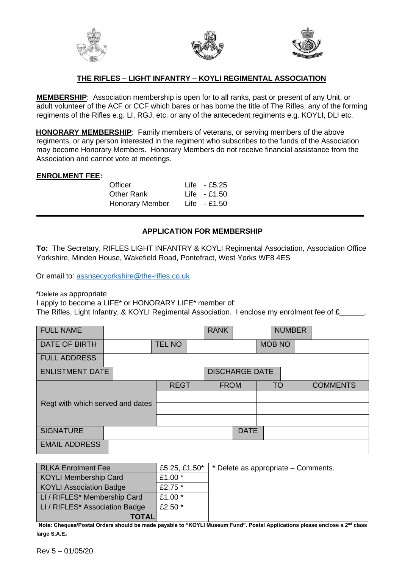





# **THE RIFLES – LIGHT INFANTRY – KOYLI REGIMENTAL ASSOCIATION**

**MEMBERSHIP**: Association membership is open for to all ranks, past or present of any Unit, or adult volunteer of the ACF or CCF which bares or has borne the title of The Rifles, any of the forming regiments of the Rifles e.g. LI, RGJ, etc. or any of the antecedent regiments e.g. KOYLI, DLI etc.

**HONORARY MEMBERSHIP**: Family members of veterans, or serving members of the above regiments, or any person interested in the regiment who subscribes to the funds of the Association may become Honorary Members. Honorary Members do not receive financial assistance from the Association and cannot vote at meetings.

### **ENROLMENT FEE:**

Officer Life - £5.25 Other Rank Life - £1.50 Honorary Member Life - £1.50

## **APPLICATION FOR MEMBERSHIP**

**To:** The Secretary, RIFLES LIGHT INFANTRY & KOYLI Regimental Association, Association Office Yorkshire, Minden House, Wakefield Road, Pontefract, West Yorks WF8 4ES

Or email to: [assnsecyorkshire@the-rifles.co.uk](mailto:assnsecyorkshire@the-rifles.co.uk)

\*Delete as appropriate

I apply to become a LIFE\* or HONORARY LIFE\* member of:

The Rifles, Light Infantry, & KOYLI Regimental Association. I enclose my enrolment fee of **£**\_\_\_\_\_\_.

| <b>FULL NAME</b>                 |                       |               |  | <b>RANK</b> |  |           | <b>NUMBER</b> |  |                 |
|----------------------------------|-----------------------|---------------|--|-------------|--|-----------|---------------|--|-----------------|
| DATE OF BIRTH                    |                       | <b>TEL NO</b> |  |             |  |           | <b>MOB NO</b> |  |                 |
| <b>FULL ADDRESS</b>              |                       |               |  |             |  |           |               |  |                 |
| <b>ENLISTMENT DATE</b>           | <b>DISCHARGE DATE</b> |               |  |             |  |           |               |  |                 |
| Regt with which served and dates |                       | <b>REGT</b>   |  | <b>FROM</b> |  | <b>TO</b> |               |  | <b>COMMENTS</b> |
|                                  |                       |               |  |             |  |           |               |  |                 |
|                                  |                       |               |  |             |  |           |               |  |                 |
|                                  |                       |               |  |             |  |           |               |  |                 |
| <b>SIGNATURE</b>                 | <b>DATE</b>           |               |  |             |  |           |               |  |                 |
| <b>EMAIL ADDRESS</b>             |                       |               |  |             |  |           |               |  |                 |

| <b>RLKA Enrolment Fee</b>      | £5.25, £1.50 $*$ | * Delete as appropriate – Comments. |
|--------------------------------|------------------|-------------------------------------|
| <b>KOYLI Membership Card</b>   | £1.00 *          |                                     |
| <b>KOYLI Association Badge</b> | £2.75 $*$        |                                     |
| LI / RIFLES* Membership Card   | £1.00 $*$        |                                     |
| LI / RIFLES* Association Badge | £2.50 $*$        |                                     |
| <b>TOTAL</b>                   |                  |                                     |

**Note: Cheques/Postal Orders should be made payable to "KOYLI Museum Fund". Postal Applications please enclose a 2 nd class large S.A.E.**